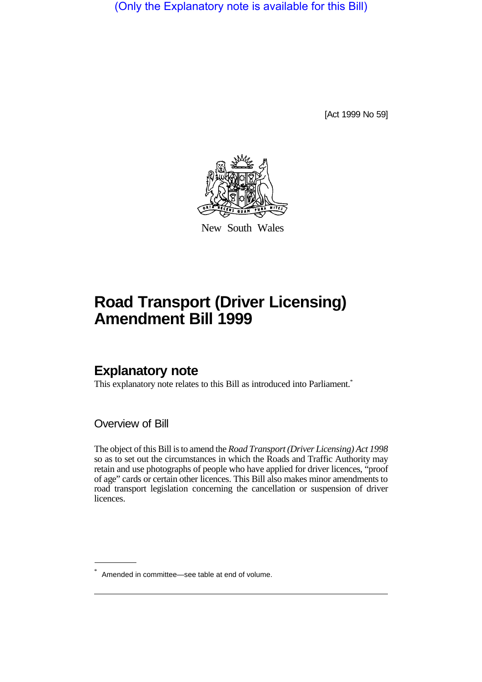(Only the Explanatory note is available for this Bill)

[Act 1999 No 59]



New South Wales

# **Road Transport (Driver Licensing) Amendment Bill 1999**

## **Explanatory note**

This explanatory note relates to this Bill as introduced into Parliament.<sup>\*</sup>

Overview of Bill

The object of this Bill is to amend the *Road Transport (Driver Licensing) Act 1998* so as to set out the circumstances in which the Roads and Traffic Authority may retain and use photographs of people who have applied for driver licences, "proof of age" cards or certain other licences. This Bill also makes minor amendments to road transport legislation concerning the cancellation or suspension of driver licences.

<sup>\*</sup> Amended in committee—see table at end of volume.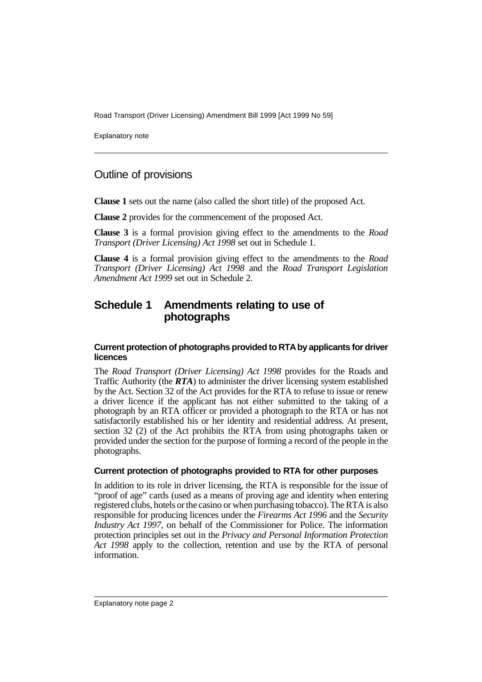Road Transport (Driver Licensing) Amendment Bill 1999 [Act 1999 No 59]

Explanatory note

## Outline of provisions

**Clause 1** sets out the name (also called the short title) of the proposed Act.

**Clause 2** provides for the commencement of the proposed Act.

**Clause 3** is a formal provision giving effect to the amendments to the *Road Transport (Driver Licensing) Act 1998* set out in Schedule 1.

**Clause 4** is a formal provision giving effect to the amendments to the *Road Transport (Driver Licensing) Act 1998* and the *Road Transport Legislation Amendment Act 1999* set out in Schedule 2.

## **Schedule 1 Amendments relating to use of photographs**

#### **Current protection of photographs provided to RTA by applicants for driver licences**

The *Road Transport (Driver Licensing) Act 1998* provides for the Roads and Traffic Authority (the *RTA*) to administer the driver licensing system established by the Act. Section 32 of the Act provides for the RTA to refuse to issue or renew a driver licence if the applicant has not either submitted to the taking of a photograph by an RTA officer or provided a photograph to the RTA or has not satisfactorily established his or her identity and residential address. At present, section 32 (2) of the Act prohibits the RTA from using photographs taken or provided under the section for the purpose of forming a record of the people in the photographs.

#### **Current protection of photographs provided to RTA for other purposes**

In addition to its role in driver licensing, the RTA is responsible for the issue of "proof of age" cards (used as a means of proving age and identity when entering registered clubs, hotels or the casino or when purchasing tobacco). The RTA is also responsible for producing licences under the *Firearms Act 1996* and the *Security Industry Act 1997*, on behalf of the Commissioner for Police. The information protection principles set out in the *Privacy and Personal Information Protection Act 1998* apply to the collection, retention and use by the RTA of personal information.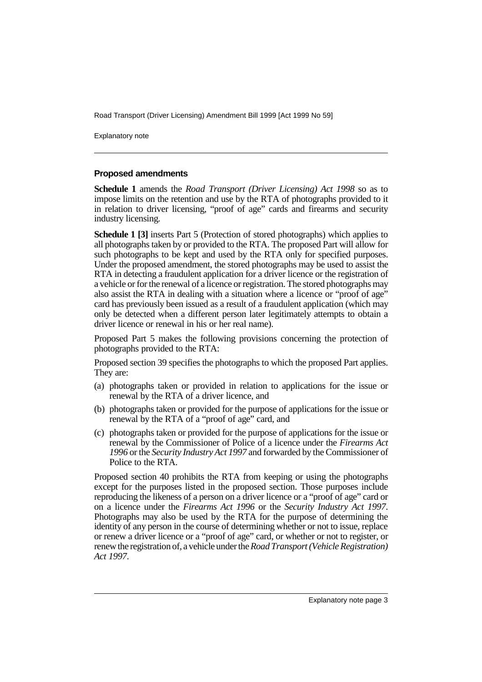Road Transport (Driver Licensing) Amendment Bill 1999 [Act 1999 No 59]

Explanatory note

#### **Proposed amendments**

**Schedule 1** amends the *Road Transport (Driver Licensing) Act 1998* so as to impose limits on the retention and use by the RTA of photographs provided to it in relation to driver licensing, "proof of age" cards and firearms and security industry licensing.

**Schedule 1 [3]** inserts Part 5 (Protection of stored photographs) which applies to all photographs taken by or provided to the RTA. The proposed Part will allow for such photographs to be kept and used by the RTA only for specified purposes. Under the proposed amendment, the stored photographs may be used to assist the RTA in detecting a fraudulent application for a driver licence or the registration of a vehicle or for the renewal of a licence or registration. The stored photographs may also assist the RTA in dealing with a situation where a licence or "proof of age" card has previously been issued as a result of a fraudulent application (which may only be detected when a different person later legitimately attempts to obtain a driver licence or renewal in his or her real name).

Proposed Part 5 makes the following provisions concerning the protection of photographs provided to the RTA:

Proposed section 39 specifies the photographs to which the proposed Part applies. They are:

- (a) photographs taken or provided in relation to applications for the issue or renewal by the RTA of a driver licence, and
- (b) photographs taken or provided for the purpose of applications for the issue or renewal by the RTA of a "proof of age" card, and
- (c) photographs taken or provided for the purpose of applications for the issue or renewal by the Commissioner of Police of a licence under the *Firearms Act 1996* or the *Security Industry Act 1997* and forwarded by the Commissioner of Police to the RTA.

Proposed section 40 prohibits the RTA from keeping or using the photographs except for the purposes listed in the proposed section. Those purposes include reproducing the likeness of a person on a driver licence or a "proof of age" card or on a licence under the *Firearms Act 1996* or the *Security Industry Act 1997*. Photographs may also be used by the RTA for the purpose of determining the identity of any person in the course of determining whether or not to issue, replace or renew a driver licence or a "proof of age" card, or whether or not to register, or renew the registration of, a vehicle under the *Road Transport (Vehicle Registration) Act 1997*.